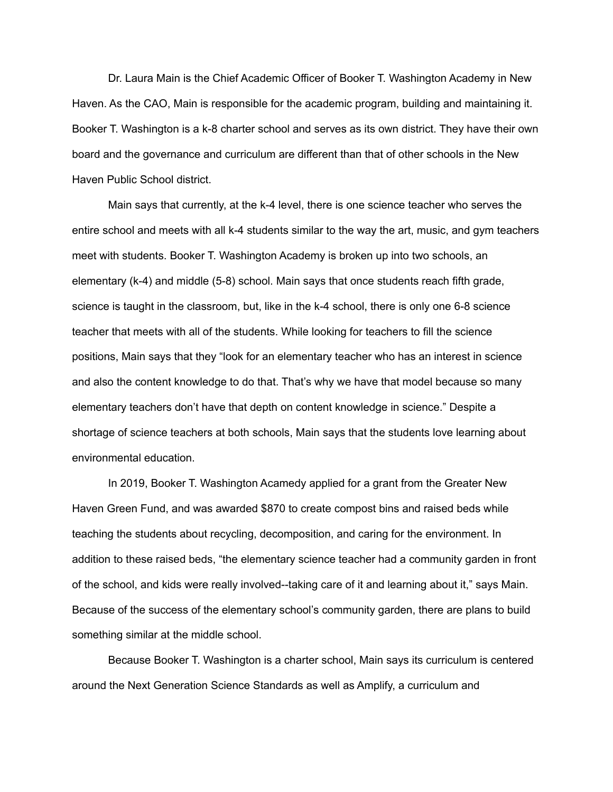Dr. Laura Main is the Chief Academic Officer of Booker T. Washington Academy in New Haven. As the CAO, Main is responsible for the academic program, building and maintaining it. Booker T. Washington is a k-8 charter school and serves as its own district. They have their own board and the governance and curriculum are different than that of other schools in the New Haven Public School district.

Main says that currently, at the k-4 level, there is one science teacher who serves the entire school and meets with all k-4 students similar to the way the art, music, and gym teachers meet with students. Booker T. Washington Academy is broken up into two schools, an elementary (k-4) and middle (5-8) school. Main says that once students reach fifth grade, science is taught in the classroom, but, like in the k-4 school, there is only one 6-8 science teacher that meets with all of the students. While looking for teachers to fill the science positions, Main says that they "look for an elementary teacher who has an interest in science and also the content knowledge to do that. That's why we have that model because so many elementary teachers don't have that depth on content knowledge in science." Despite a shortage of science teachers at both schools, Main says that the students love learning about environmental education.

In 2019, Booker T. Washington Acamedy applied for a grant from the Greater New Haven Green Fund, and was awarded \$870 to create compost bins and raised beds while teaching the students about recycling, decomposition, and caring for the environment. In addition to these raised beds, "the elementary science teacher had a community garden in front of the school, and kids were really involved--taking care of it and learning about it," says Main. Because of the success of the elementary school's community garden, there are plans to build something similar at the middle school.

Because Booker T. Washington is a charter school, Main says its curriculum is centered around the Next Generation Science Standards as well as Amplify, a curriculum and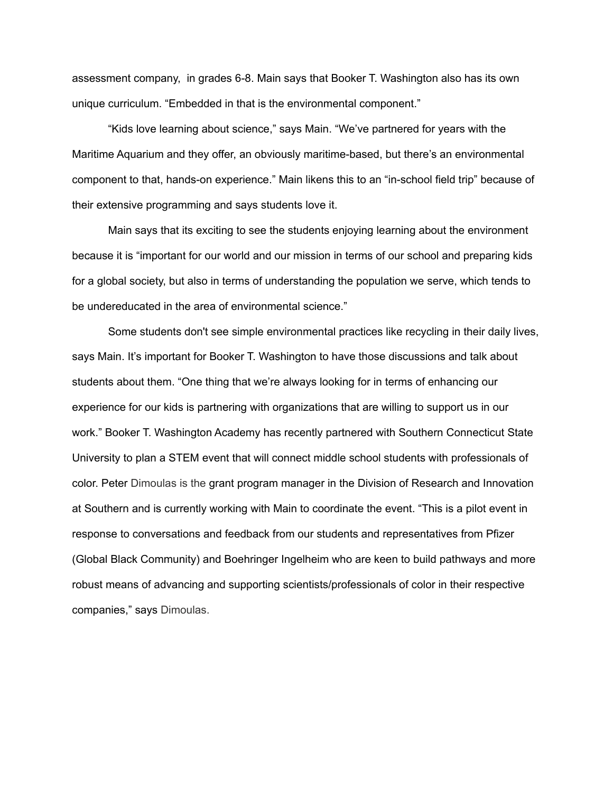assessment company, in grades 6-8. Main says that Booker T. Washington also has its own unique curriculum. "Embedded in that is the environmental component."

"Kids love learning about science," says Main. "We've partnered for years with the Maritime Aquarium and they offer, an obviously maritime-based, but there's an environmental component to that, hands-on experience." Main likens this to an "in-school field trip" because of their extensive programming and says students love it.

Main says that its exciting to see the students enjoying learning about the environment because it is "important for our world and our mission in terms of our school and preparing kids for a global society, but also in terms of understanding the population we serve, which tends to be undereducated in the area of environmental science."

Some students don't see simple environmental practices like recycling in their daily lives, says Main. It's important for Booker T. Washington to have those discussions and talk about students about them. "One thing that we're always looking for in terms of enhancing our experience for our kids is partnering with organizations that are willing to support us in our work." Booker T. Washington Academy has recently partnered with Southern Connecticut State University to plan a STEM event that will connect middle school students with professionals of color. Peter Dimoulas is the grant program manager in the Division of Research and Innovation at Southern and is currently working with Main to coordinate the event. "This is a pilot event in response to conversations and feedback from our students and representatives from Pfizer (Global Black Community) and Boehringer Ingelheim who are keen to build pathways and more robust means of advancing and supporting scientists/professionals of color in their respective companies," says Dimoulas.